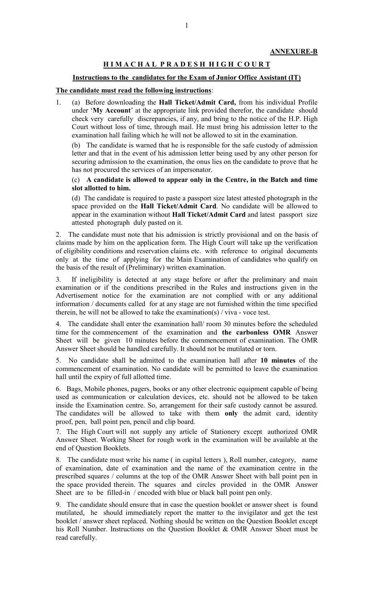## **H I M A C H A L P R A D E S H H I G H C O U R T**

## **Instructions to the candidates for the Exam of Junior Office Assistant (IT)**

## **The candidate must read the following instructions**:

1. (a) Before downloading the **Hall Ticket/Admit Card,** from his individual Profile under '**My Account**' at the appropriate link provided therefor, the candidate should check very carefully discrepancies, if any, and bring to the notice of the H.P. High Court without loss of time, through mail. He must bring his admission letter to the examination hall failing which he will not be allowed to sit in the examination.

(b) The candidate is warned that he is responsible for the safe custody of admission letter and that in the event of his admission letter being used by any other person for securing admission to the examination, the onus lies on the candidate to prove that he has not procured the services of an impersonator.

## (c) **A candidate is allowed to appear only in the Centre, in the Batch and time slot allotted to him.**

(d) The candidate is required to paste a passport size latest attested photograph in the space provided on the **Hall Ticket/Admit Card**. No candidate will be allowed to appear in the examination without **Hall Ticket/Admit Card** and latest passport size attested photograph duly pasted on it.

2. The candidate must note that his admission is strictly provisional and on the basis of claims made by him on the application form. The High Court will take up the verification of eligibility conditions and reservation claims etc. with reference to original documents only at the time of applying for the Main Examination of candidates who qualify on the basis of the result of (Preliminary) written examination.

3. If ineligibility is detected at any stage before or after the preliminary and main examination or if the conditions prescribed in the Rules and instructions given in the Advertisement notice for the examination are not complied with or any additional information / documents called for at any stage are not furnished within the time specified therein, he will not be allowed to take the examination(s) / viva - voce test.

4. The candidate shall enter the examination hall/ room 30 minutes before the scheduled time for the commencement of the examination and **the carbonless OMR** Answer Sheet will be given 10 minutes before the commencement of examination. The OMR Answer Sheet should be handled carefully. It should not be mutilated or torn.

5. No candidate shall be admitted to the examination hall after **10 minutes** of the commencement of examination. No candidate will be permitted to leave the examination hall until the expiry of full allotted time.

6. Bags, Mobile phones, pagers, books or any other electronic equipment capable of being used as communication or calculation devices, etc. should not be allowed to be taken inside the Examination centre. So, arrangement for their safe custody cannot be assured. The candidates will be allowed to take with them **only** the admit card, identity proof, pen, ball point pen, pencil and clip board.

7. The High Court will not supply any article of Stationery except authorized OMR Answer Sheet. Working Sheet for rough work in the examination will be available at the end of Question Booklets.

8. The candidate must write his name ( in capital letters ), Roll number, category, name of examination, date of examination and the name of the examination centre in the prescribed squares / columns at the top of the OMR Answer Sheet with ball point pen in the space provided therein. The squares and circles provided in the OMR Answer Sheet are to be filled-in / encoded with blue or black ball point pen only.

9. The candidate should ensure that in case the question booklet or answer sheet is found mutilated, he should immediately report the matter to the invigilator and get the test booklet / answer sheet replaced. Nothing should be written on the Question Booklet except his Roll Number. Instructions on the Question Booklet & OMR Answer Sheet must be read carefully.